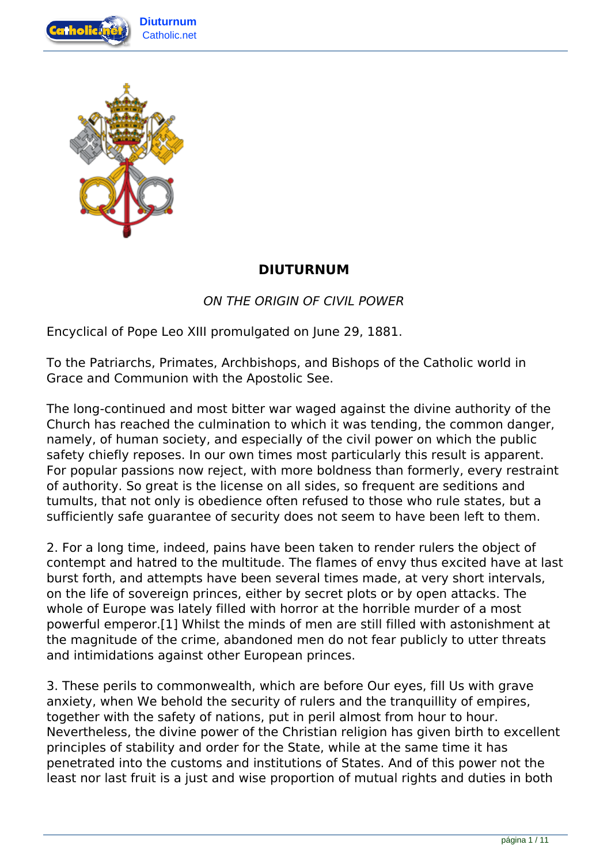



## **DIUTURNUM**

*ON THE ORIGIN OF CIVIL POWER*

Encyclical of Pope Leo XIII promulgated on June 29, 1881.

To the Patriarchs, Primates, Archbishops, and Bishops of the Catholic world in Grace and Communion with the Apostolic See.

The long-continued and most bitter war waged against the divine authority of the Church has reached the culmination to which it was tending, the common danger, namely, of human society, and especially of the civil power on which the public safety chiefly reposes. In our own times most particularly this result is apparent. For popular passions now reject, with more boldness than formerly, every restraint of authority. So great is the license on all sides, so frequent are seditions and tumults, that not only is obedience often refused to those who rule states, but a sufficiently safe guarantee of security does not seem to have been left to them.

2. For a long time, indeed, pains have been taken to render rulers the object of contempt and hatred to the multitude. The flames of envy thus excited have at last burst forth, and attempts have been several times made, at very short intervals, on the life of sovereign princes, either by secret plots or by open attacks. The whole of Europe was lately filled with horror at the horrible murder of a most powerful emperor.[1] Whilst the minds of men are still filled with astonishment at the magnitude of the crime, abandoned men do not fear publicly to utter threats and intimidations against other European princes.

3. These perils to commonwealth, which are before Our eyes, fill Us with grave anxiety, when We behold the security of rulers and the tranquillity of empires, together with the safety of nations, put in peril almost from hour to hour. Nevertheless, the divine power of the Christian religion has given birth to excellent principles of stability and order for the State, while at the same time it has penetrated into the customs and institutions of States. And of this power not the least nor last fruit is a just and wise proportion of mutual rights and duties in both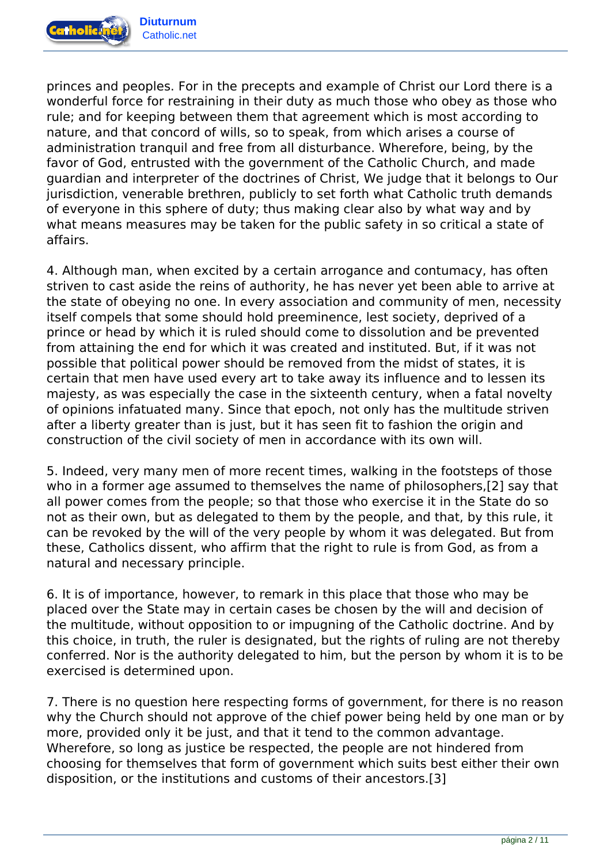

princes and peoples. For in the precepts and example of Christ our Lord there is a wonderful force for restraining in their duty as much those who obey as those who rule; and for keeping between them that agreement which is most according to nature, and that concord of wills, so to speak, from which arises a course of administration tranquil and free from all disturbance. Wherefore, being, by the favor of God, entrusted with the government of the Catholic Church, and made guardian and interpreter of the doctrines of Christ, We judge that it belongs to Our jurisdiction, venerable brethren, publicly to set forth what Catholic truth demands of everyone in this sphere of duty; thus making clear also by what way and by what means measures may be taken for the public safety in so critical a state of affairs.

4. Although man, when excited by a certain arrogance and contumacy, has often striven to cast aside the reins of authority, he has never yet been able to arrive at the state of obeying no one. In every association and community of men, necessity itself compels that some should hold preeminence, lest society, deprived of a prince or head by which it is ruled should come to dissolution and be prevented from attaining the end for which it was created and instituted. But, if it was not possible that political power should be removed from the midst of states, it is certain that men have used every art to take away its influence and to lessen its majesty, as was especially the case in the sixteenth century, when a fatal novelty of opinions infatuated many. Since that epoch, not only has the multitude striven after a liberty greater than is just, but it has seen fit to fashion the origin and construction of the civil society of men in accordance with its own will.

5. Indeed, very many men of more recent times, walking in the footsteps of those who in a former age assumed to themselves the name of philosophers,[2] say that all power comes from the people; so that those who exercise it in the State do so not as their own, but as delegated to them by the people, and that, by this rule, it can be revoked by the will of the very people by whom it was delegated. But from these, Catholics dissent, who affirm that the right to rule is from God, as from a natural and necessary principle.

6. It is of importance, however, to remark in this place that those who may be placed over the State may in certain cases be chosen by the will and decision of the multitude, without opposition to or impugning of the Catholic doctrine. And by this choice, in truth, the ruler is designated, but the rights of ruling are not thereby conferred. Nor is the authority delegated to him, but the person by whom it is to be exercised is determined upon.

7. There is no question here respecting forms of government, for there is no reason why the Church should not approve of the chief power being held by one man or by more, provided only it be just, and that it tend to the common advantage. Wherefore, so long as justice be respected, the people are not hindered from choosing for themselves that form of government which suits best either their own disposition, or the institutions and customs of their ancestors.[3]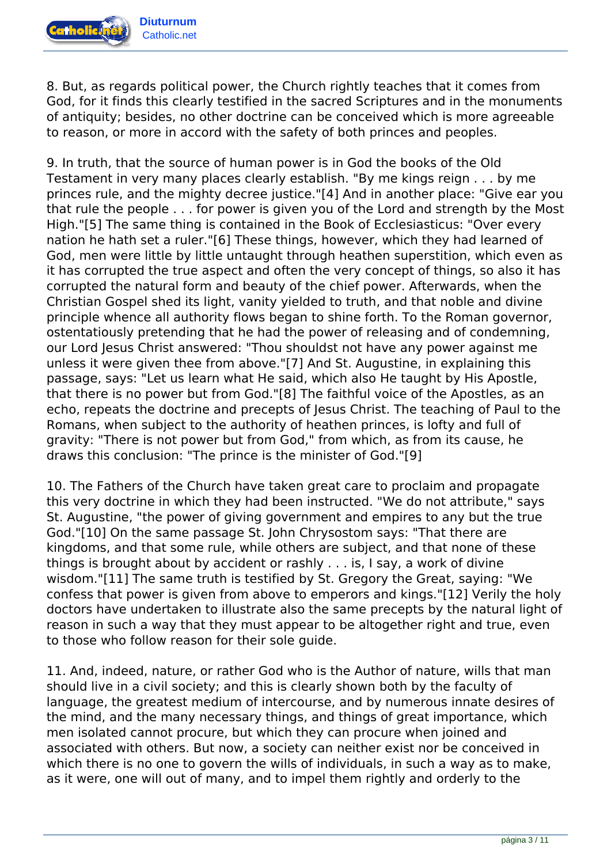

8. But, as regards political power, the Church rightly teaches that it comes from God, for it finds this clearly testified in the sacred Scriptures and in the monuments of antiquity; besides, no other doctrine can be conceived which is more agreeable to reason, or more in accord with the safety of both princes and peoples.

9. In truth, that the source of human power is in God the books of the Old Testament in very many places clearly establish. "By me kings reign . . . by me princes rule, and the mighty decree justice."[4] And in another place: "Give ear you that rule the people . . . for power is given you of the Lord and strength by the Most High."[5] The same thing is contained in the Book of Ecclesiasticus: "Over every nation he hath set a ruler."[6] These things, however, which they had learned of God, men were little by little untaught through heathen superstition, which even as it has corrupted the true aspect and often the very concept of things, so also it has corrupted the natural form and beauty of the chief power. Afterwards, when the Christian Gospel shed its light, vanity yielded to truth, and that noble and divine principle whence all authority flows began to shine forth. To the Roman governor, ostentatiously pretending that he had the power of releasing and of condemning, our Lord Jesus Christ answered: "Thou shouldst not have any power against me unless it were given thee from above."[7] And St. Augustine, in explaining this passage, says: "Let us learn what He said, which also He taught by His Apostle, that there is no power but from God."[8] The faithful voice of the Apostles, as an echo, repeats the doctrine and precepts of Jesus Christ. The teaching of Paul to the Romans, when subject to the authority of heathen princes, is lofty and full of gravity: "There is not power but from God," from which, as from its cause, he draws this conclusion: "The prince is the minister of God."[9]

10. The Fathers of the Church have taken great care to proclaim and propagate this very doctrine in which they had been instructed. "We do not attribute," says St. Augustine, "the power of giving government and empires to any but the true God."[10] On the same passage St. John Chrysostom says: "That there are kingdoms, and that some rule, while others are subject, and that none of these things is brought about by accident or rashly . . . is, I say, a work of divine wisdom."[11] The same truth is testified by St. Gregory the Great, saying: "We confess that power is given from above to emperors and kings."[12] Verily the holy doctors have undertaken to illustrate also the same precepts by the natural light of reason in such a way that they must appear to be altogether right and true, even to those who follow reason for their sole guide.

11. And, indeed, nature, or rather God who is the Author of nature, wills that man should live in a civil society; and this is clearly shown both by the faculty of language, the greatest medium of intercourse, and by numerous innate desires of the mind, and the many necessary things, and things of great importance, which men isolated cannot procure, but which they can procure when joined and associated with others. But now, a society can neither exist nor be conceived in which there is no one to govern the wills of individuals, in such a way as to make, as it were, one will out of many, and to impel them rightly and orderly to the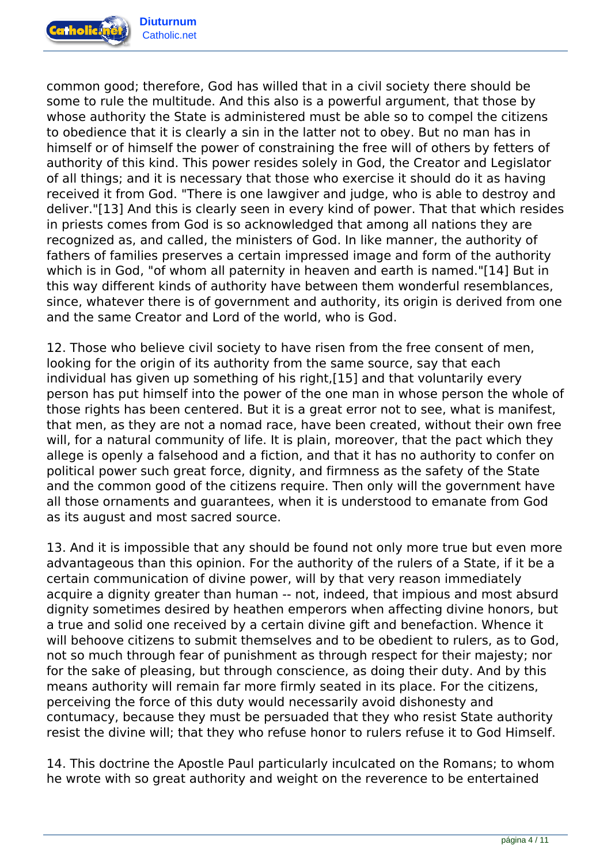

common good; therefore, God has willed that in a civil society there should be some to rule the multitude. And this also is a powerful argument, that those by whose authority the State is administered must be able so to compel the citizens to obedience that it is clearly a sin in the latter not to obey. But no man has in himself or of himself the power of constraining the free will of others by fetters of authority of this kind. This power resides solely in God, the Creator and Legislator of all things; and it is necessary that those who exercise it should do it as having received it from God. "There is one lawgiver and judge, who is able to destroy and deliver."[13] And this is clearly seen in every kind of power. That that which resides in priests comes from God is so acknowledged that among all nations they are recognized as, and called, the ministers of God. In like manner, the authority of fathers of families preserves a certain impressed image and form of the authority which is in God, "of whom all paternity in heaven and earth is named."[14] But in this way different kinds of authority have between them wonderful resemblances, since, whatever there is of government and authority, its origin is derived from one and the same Creator and Lord of the world, who is God.

12. Those who believe civil society to have risen from the free consent of men, looking for the origin of its authority from the same source, say that each individual has given up something of his right,[15] and that voluntarily every person has put himself into the power of the one man in whose person the whole of those rights has been centered. But it is a great error not to see, what is manifest, that men, as they are not a nomad race, have been created, without their own free will, for a natural community of life. It is plain, moreover, that the pact which they allege is openly a falsehood and a fiction, and that it has no authority to confer on political power such great force, dignity, and firmness as the safety of the State and the common good of the citizens require. Then only will the government have all those ornaments and guarantees, when it is understood to emanate from God as its august and most sacred source.

13. And it is impossible that any should be found not only more true but even more advantageous than this opinion. For the authority of the rulers of a State, if it be a certain communication of divine power, will by that very reason immediately acquire a dignity greater than human -- not, indeed, that impious and most absurd dignity sometimes desired by heathen emperors when affecting divine honors, but a true and solid one received by a certain divine gift and benefaction. Whence it will behoove citizens to submit themselves and to be obedient to rulers, as to God, not so much through fear of punishment as through respect for their majesty; nor for the sake of pleasing, but through conscience, as doing their duty. And by this means authority will remain far more firmly seated in its place. For the citizens, perceiving the force of this duty would necessarily avoid dishonesty and contumacy, because they must be persuaded that they who resist State authority resist the divine will; that they who refuse honor to rulers refuse it to God Himself.

14. This doctrine the Apostle Paul particularly inculcated on the Romans; to whom he wrote with so great authority and weight on the reverence to be entertained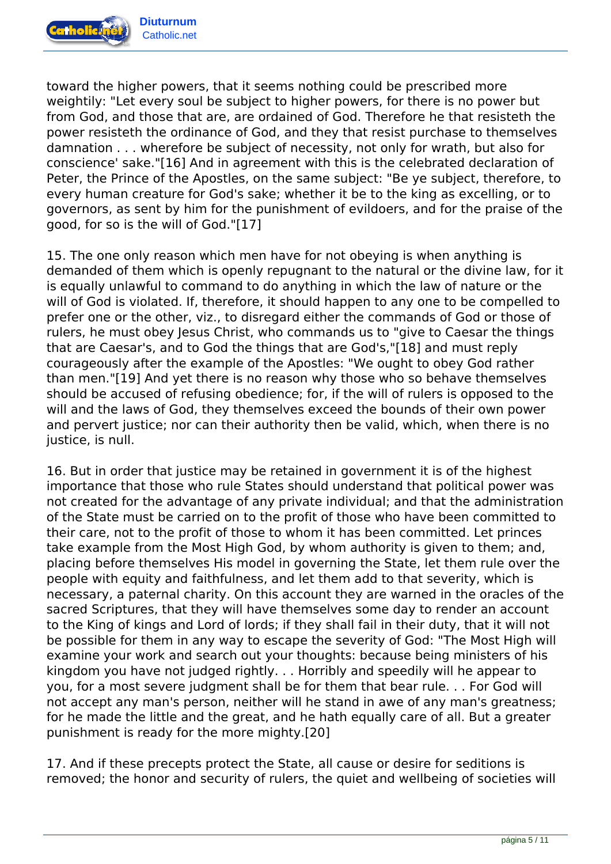

toward the higher powers, that it seems nothing could be prescribed more weightily: "Let every soul be subject to higher powers, for there is no power but from God, and those that are, are ordained of God. Therefore he that resisteth the power resisteth the ordinance of God, and they that resist purchase to themselves damnation . . . wherefore be subject of necessity, not only for wrath, but also for conscience' sake."[16] And in agreement with this is the celebrated declaration of Peter, the Prince of the Apostles, on the same subject: "Be ye subject, therefore, to every human creature for God's sake; whether it be to the king as excelling, or to governors, as sent by him for the punishment of evildoers, and for the praise of the good, for so is the will of God."[17]

15. The one only reason which men have for not obeying is when anything is demanded of them which is openly repugnant to the natural or the divine law, for it is equally unlawful to command to do anything in which the law of nature or the will of God is violated. If, therefore, it should happen to any one to be compelled to prefer one or the other, viz., to disregard either the commands of God or those of rulers, he must obey Jesus Christ, who commands us to "give to Caesar the things that are Caesar's, and to God the things that are God's,"[18] and must reply courageously after the example of the Apostles: "We ought to obey God rather than men."[19] And yet there is no reason why those who so behave themselves should be accused of refusing obedience; for, if the will of rulers is opposed to the will and the laws of God, they themselves exceed the bounds of their own power and pervert justice; nor can their authority then be valid, which, when there is no justice, is null.

16. But in order that justice may be retained in government it is of the highest importance that those who rule States should understand that political power was not created for the advantage of any private individual; and that the administration of the State must be carried on to the profit of those who have been committed to their care, not to the profit of those to whom it has been committed. Let princes take example from the Most High God, by whom authority is given to them; and, placing before themselves His model in governing the State, let them rule over the people with equity and faithfulness, and let them add to that severity, which is necessary, a paternal charity. On this account they are warned in the oracles of the sacred Scriptures, that they will have themselves some day to render an account to the King of kings and Lord of lords; if they shall fail in their duty, that it will not be possible for them in any way to escape the severity of God: "The Most High will examine your work and search out your thoughts: because being ministers of his kingdom you have not judged rightly. . . Horribly and speedily will he appear to you, for a most severe judgment shall be for them that bear rule. . . For God will not accept any man's person, neither will he stand in awe of any man's greatness; for he made the little and the great, and he hath equally care of all. But a greater punishment is ready for the more mighty.[20]

17. And if these precepts protect the State, all cause or desire for seditions is removed; the honor and security of rulers, the quiet and wellbeing of societies will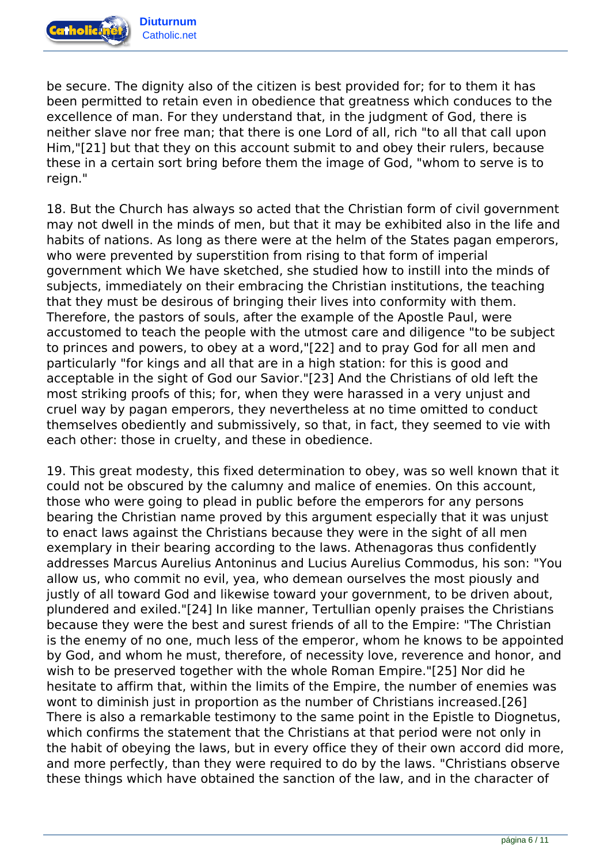

be secure. The dignity also of the citizen is best provided for; for to them it has been permitted to retain even in obedience that greatness which conduces to the excellence of man. For they understand that, in the judgment of God, there is neither slave nor free man; that there is one Lord of all, rich "to all that call upon Him,"[21] but that they on this account submit to and obey their rulers, because these in a certain sort bring before them the image of God, "whom to serve is to reign."

18. But the Church has always so acted that the Christian form of civil government may not dwell in the minds of men, but that it may be exhibited also in the life and habits of nations. As long as there were at the helm of the States pagan emperors, who were prevented by superstition from rising to that form of imperial government which We have sketched, she studied how to instill into the minds of subjects, immediately on their embracing the Christian institutions, the teaching that they must be desirous of bringing their lives into conformity with them. Therefore, the pastors of souls, after the example of the Apostle Paul, were accustomed to teach the people with the utmost care and diligence "to be subject to princes and powers, to obey at a word,"[22] and to pray God for all men and particularly "for kings and all that are in a high station: for this is good and acceptable in the sight of God our Savior."[23] And the Christians of old left the most striking proofs of this; for, when they were harassed in a very unjust and cruel way by pagan emperors, they nevertheless at no time omitted to conduct themselves obediently and submissively, so that, in fact, they seemed to vie with each other: those in cruelty, and these in obedience.

19. This great modesty, this fixed determination to obey, was so well known that it could not be obscured by the calumny and malice of enemies. On this account, those who were going to plead in public before the emperors for any persons bearing the Christian name proved by this argument especially that it was unjust to enact laws against the Christians because they were in the sight of all men exemplary in their bearing according to the laws. Athenagoras thus confidently addresses Marcus Aurelius Antoninus and Lucius Aurelius Commodus, his son: "You allow us, who commit no evil, yea, who demean ourselves the most piously and justly of all toward God and likewise toward your government, to be driven about, plundered and exiled."[24] In like manner, Tertullian openly praises the Christians because they were the best and surest friends of all to the Empire: "The Christian is the enemy of no one, much less of the emperor, whom he knows to be appointed by God, and whom he must, therefore, of necessity love, reverence and honor, and wish to be preserved together with the whole Roman Empire."[25] Nor did he hesitate to affirm that, within the limits of the Empire, the number of enemies was wont to diminish just in proportion as the number of Christians increased.[26] There is also a remarkable testimony to the same point in the Epistle to Diognetus, which confirms the statement that the Christians at that period were not only in the habit of obeying the laws, but in every office they of their own accord did more, and more perfectly, than they were required to do by the laws. "Christians observe these things which have obtained the sanction of the law, and in the character of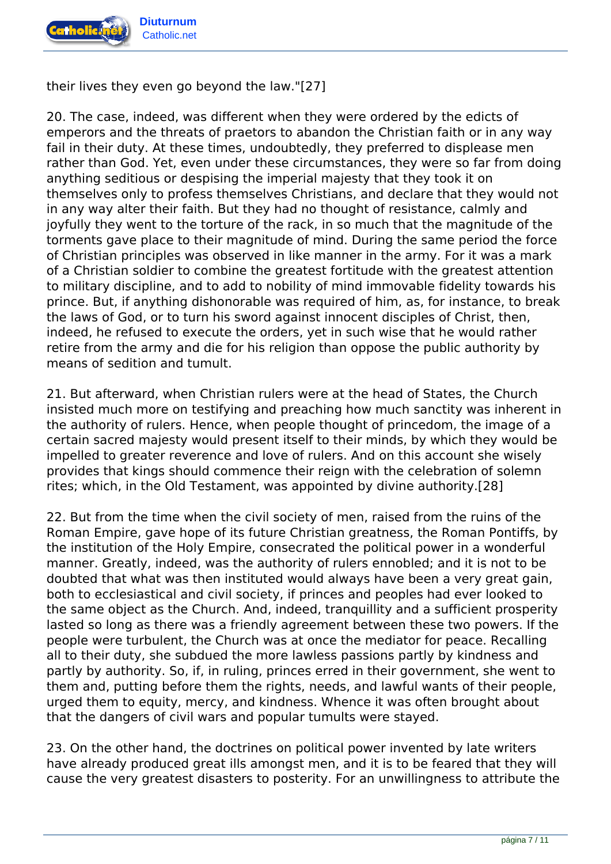

**Diuturnum** Catholic.net

their lives they even go beyond the law."[27]

20. The case, indeed, was different when they were ordered by the edicts of emperors and the threats of praetors to abandon the Christian faith or in any way fail in their duty. At these times, undoubtedly, they preferred to displease men rather than God. Yet, even under these circumstances, they were so far from doing anything seditious or despising the imperial majesty that they took it on themselves only to profess themselves Christians, and declare that they would not in any way alter their faith. But they had no thought of resistance, calmly and joyfully they went to the torture of the rack, in so much that the magnitude of the torments gave place to their magnitude of mind. During the same period the force of Christian principles was observed in like manner in the army. For it was a mark of a Christian soldier to combine the greatest fortitude with the greatest attention to military discipline, and to add to nobility of mind immovable fidelity towards his prince. But, if anything dishonorable was required of him, as, for instance, to break the laws of God, or to turn his sword against innocent disciples of Christ, then, indeed, he refused to execute the orders, yet in such wise that he would rather retire from the army and die for his religion than oppose the public authority by means of sedition and tumult.

21. But afterward, when Christian rulers were at the head of States, the Church insisted much more on testifying and preaching how much sanctity was inherent in the authority of rulers. Hence, when people thought of princedom, the image of a certain sacred majesty would present itself to their minds, by which they would be impelled to greater reverence and love of rulers. And on this account she wisely provides that kings should commence their reign with the celebration of solemn rites; which, in the Old Testament, was appointed by divine authority.[28]

22. But from the time when the civil society of men, raised from the ruins of the Roman Empire, gave hope of its future Christian greatness, the Roman Pontiffs, by the institution of the Holy Empire, consecrated the political power in a wonderful manner. Greatly, indeed, was the authority of rulers ennobled; and it is not to be doubted that what was then instituted would always have been a very great gain, both to ecclesiastical and civil society, if princes and peoples had ever looked to the same object as the Church. And, indeed, tranquillity and a sufficient prosperity lasted so long as there was a friendly agreement between these two powers. If the people were turbulent, the Church was at once the mediator for peace. Recalling all to their duty, she subdued the more lawless passions partly by kindness and partly by authority. So, if, in ruling, princes erred in their government, she went to them and, putting before them the rights, needs, and lawful wants of their people, urged them to equity, mercy, and kindness. Whence it was often brought about that the dangers of civil wars and popular tumults were stayed.

23. On the other hand, the doctrines on political power invented by late writers have already produced great ills amongst men, and it is to be feared that they will cause the very greatest disasters to posterity. For an unwillingness to attribute the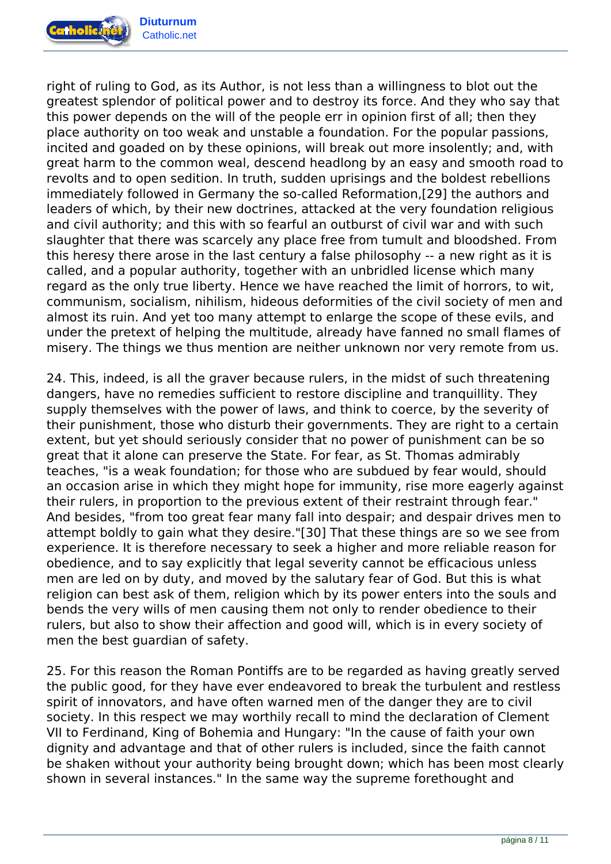

right of ruling to God, as its Author, is not less than a willingness to blot out the greatest splendor of political power and to destroy its force. And they who say that this power depends on the will of the people err in opinion first of all; then they place authority on too weak and unstable a foundation. For the popular passions, incited and goaded on by these opinions, will break out more insolently; and, with great harm to the common weal, descend headlong by an easy and smooth road to revolts and to open sedition. In truth, sudden uprisings and the boldest rebellions immediately followed in Germany the so-called Reformation,[29] the authors and leaders of which, by their new doctrines, attacked at the very foundation religious and civil authority; and this with so fearful an outburst of civil war and with such slaughter that there was scarcely any place free from tumult and bloodshed. From this heresy there arose in the last century a false philosophy -- a new right as it is called, and a popular authority, together with an unbridled license which many regard as the only true liberty. Hence we have reached the limit of horrors, to wit, communism, socialism, nihilism, hideous deformities of the civil society of men and almost its ruin. And yet too many attempt to enlarge the scope of these evils, and under the pretext of helping the multitude, already have fanned no small flames of misery. The things we thus mention are neither unknown nor very remote from us.

24. This, indeed, is all the graver because rulers, in the midst of such threatening dangers, have no remedies sufficient to restore discipline and tranquillity. They supply themselves with the power of laws, and think to coerce, by the severity of their punishment, those who disturb their governments. They are right to a certain extent, but yet should seriously consider that no power of punishment can be so great that it alone can preserve the State. For fear, as St. Thomas admirably teaches, "is a weak foundation; for those who are subdued by fear would, should an occasion arise in which they might hope for immunity, rise more eagerly against their rulers, in proportion to the previous extent of their restraint through fear." And besides, "from too great fear many fall into despair; and despair drives men to attempt boldly to gain what they desire."[30] That these things are so we see from experience. It is therefore necessary to seek a higher and more reliable reason for obedience, and to say explicitly that legal severity cannot be efficacious unless men are led on by duty, and moved by the salutary fear of God. But this is what religion can best ask of them, religion which by its power enters into the souls and bends the very wills of men causing them not only to render obedience to their rulers, but also to show their affection and good will, which is in every society of men the best guardian of safety.

25. For this reason the Roman Pontiffs are to be regarded as having greatly served the public good, for they have ever endeavored to break the turbulent and restless spirit of innovators, and have often warned men of the danger they are to civil society. In this respect we may worthily recall to mind the declaration of Clement VII to Ferdinand, King of Bohemia and Hungary: "In the cause of faith your own dignity and advantage and that of other rulers is included, since the faith cannot be shaken without your authority being brought down; which has been most clearly shown in several instances." In the same way the supreme forethought and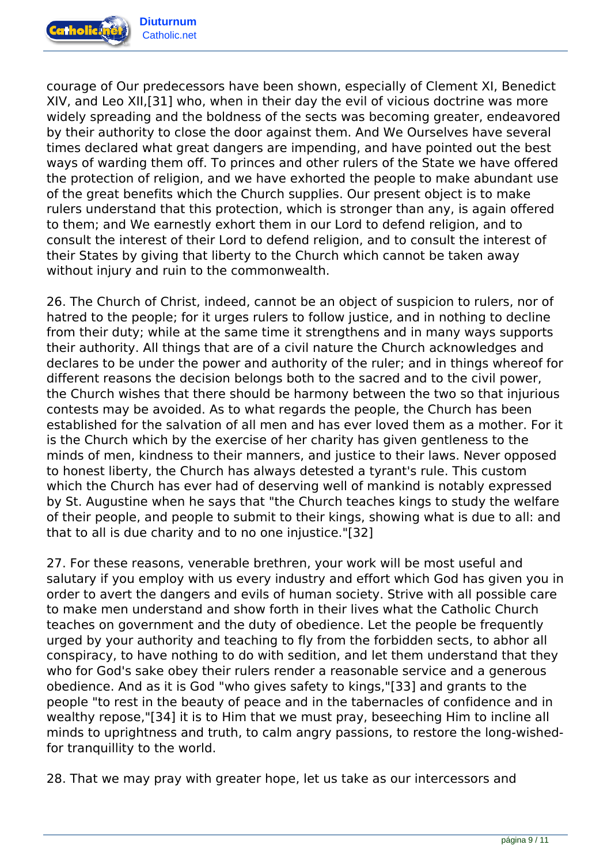

courage of Our predecessors have been shown, especially of Clement XI, Benedict XIV, and Leo XII,[31] who, when in their day the evil of vicious doctrine was more widely spreading and the boldness of the sects was becoming greater, endeavored by their authority to close the door against them. And We Ourselves have several times declared what great dangers are impending, and have pointed out the best ways of warding them off. To princes and other rulers of the State we have offered the protection of religion, and we have exhorted the people to make abundant use of the great benefits which the Church supplies. Our present object is to make rulers understand that this protection, which is stronger than any, is again offered to them; and We earnestly exhort them in our Lord to defend religion, and to consult the interest of their Lord to defend religion, and to consult the interest of their States by giving that liberty to the Church which cannot be taken away without injury and ruin to the commonwealth.

26. The Church of Christ, indeed, cannot be an object of suspicion to rulers, nor of hatred to the people; for it urges rulers to follow justice, and in nothing to decline from their duty; while at the same time it strengthens and in many ways supports their authority. All things that are of a civil nature the Church acknowledges and declares to be under the power and authority of the ruler; and in things whereof for different reasons the decision belongs both to the sacred and to the civil power, the Church wishes that there should be harmony between the two so that injurious contests may be avoided. As to what regards the people, the Church has been established for the salvation of all men and has ever loved them as a mother. For it is the Church which by the exercise of her charity has given gentleness to the minds of men, kindness to their manners, and justice to their laws. Never opposed to honest liberty, the Church has always detested a tyrant's rule. This custom which the Church has ever had of deserving well of mankind is notably expressed by St. Augustine when he says that "the Church teaches kings to study the welfare of their people, and people to submit to their kings, showing what is due to all: and that to all is due charity and to no one injustice."[32]

27. For these reasons, venerable brethren, your work will be most useful and salutary if you employ with us every industry and effort which God has given you in order to avert the dangers and evils of human society. Strive with all possible care to make men understand and show forth in their lives what the Catholic Church teaches on government and the duty of obedience. Let the people be frequently urged by your authority and teaching to fly from the forbidden sects, to abhor all conspiracy, to have nothing to do with sedition, and let them understand that they who for God's sake obey their rulers render a reasonable service and a generous obedience. And as it is God "who gives safety to kings,"[33] and grants to the people "to rest in the beauty of peace and in the tabernacles of confidence and in wealthy repose,"[34] it is to Him that we must pray, beseeching Him to incline all minds to uprightness and truth, to calm angry passions, to restore the long-wishedfor tranquillity to the world.

28. That we may pray with greater hope, let us take as our intercessors and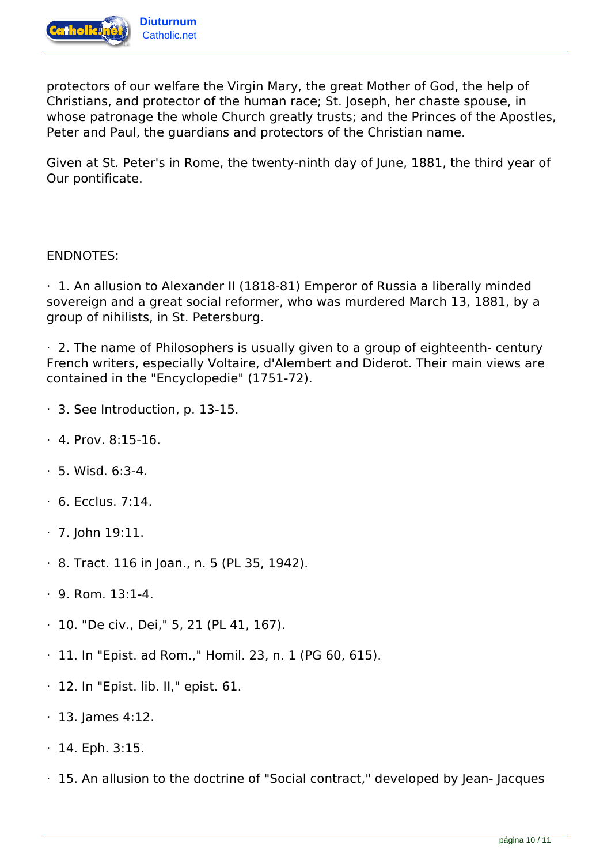

protectors of our welfare the Virgin Mary, the great Mother of God, the help of Christians, and protector of the human race; St. Joseph, her chaste spouse, in whose patronage the whole Church greatly trusts; and the Princes of the Apostles, Peter and Paul, the guardians and protectors of the Christian name.

Given at St. Peter's in Rome, the twenty-ninth day of June, 1881, the third year of Our pontificate.

## ENDNOTES:

· 1. An allusion to Alexander II (1818-81) Emperor of Russia a liberally minded sovereign and a great social reformer, who was murdered March 13, 1881, by a group of nihilists, in St. Petersburg.

· 2. The name of Philosophers is usually given to a group of eighteenth- century French writers, especially Voltaire, d'Alembert and Diderot. Their main views are contained in the "Encyclopedie" (1751-72).

- · 3. See Introduction, p. 13-15.
- · 4. Prov. 8:15-16.
- · 5. Wisd. 6:3-4.
- · 6. Ecclus. 7:14.
- $\cdot$  7. John 19:11.
- · 8. Tract. 116 in Joan., n. 5 (PL 35, 1942).
- $\cdot$  9. Rom. 13:1-4.
- · 10. "De civ., Dei," 5, 21 (PL 41, 167).
- · 11. In "Epist. ad Rom.," Homil. 23, n. 1 (PG 60, 615).
- $\cdot$  12. In "Epist. lib. II," epist. 61.
- · 13. James 4:12.
- $\cdot$  14. Eph. 3:15.
- · 15. An allusion to the doctrine of "Social contract," developed by Jean- Jacques